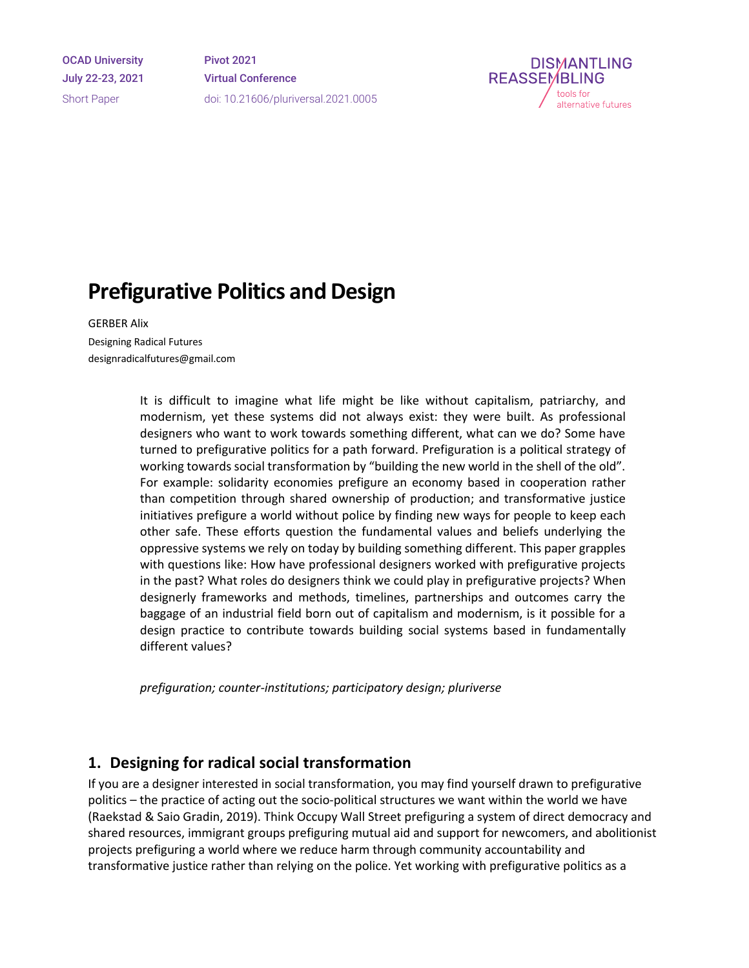OCAD University July 22-23, 2021 Short Paper

Pivot 2021 Virtual Conference doi: 10.21606/pluriversal.2021.0005



# **Prefigurative Politics and Design**

GERBER Alix Designing Radical Futures designradicalfutures@gmail.com

> It is difficult to imagine what life might be like without capitalism, patriarchy, and modernism, yet these systems did not always exist: they were built. As professional designers who want to work towards something different, what can we do? Some have turned to prefigurative politics for a path forward. Prefiguration is a political strategy of working towards social transformation by "building the new world in the shell of the old". For example: solidarity economies prefigure an economy based in cooperation rather than competition through shared ownership of production; and transformative justice initiatives prefigure a world without police by finding new ways for people to keep each other safe. These efforts question the fundamental values and beliefs underlying the oppressive systems we rely on today by building something different. This paper grapples with questions like: How have professional designers worked with prefigurative projects in the past? What roles do designers think we could play in prefigurative projects? When designerly frameworks and methods, timelines, partnerships and outcomes carry the baggage of an industrial field born out of capitalism and modernism, is it possible for a design practice to contribute towards building social systems based in fundamentally different values?

*prefiguration; counter-institutions; participatory design; pluriverse*

#### **1. Designing for radical social transformation**

If you are a designer interested in social transformation, you may find yourself drawn to prefigurative politics – the practice of acting out the socio-political structures we want within the world we have (Raekstad & Saio Gradin, 2019). Think Occupy Wall Street prefiguring a system of direct democracy and shared resources, immigrant groups prefiguring mutual aid and support for newcomers, and abolitionist projects prefiguring a world where we reduce harm through community accountability and transformative justice rather than relying on the police. Yet working with prefigurative politics as a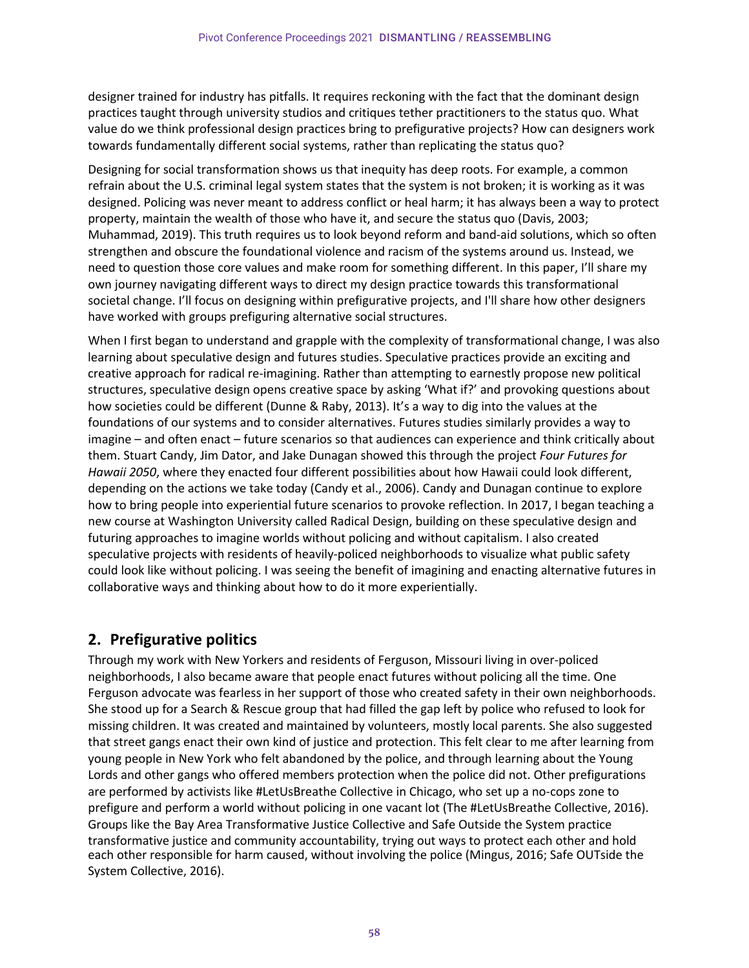designer trained for industry has pitfalls. It requires reckoning with the fact that the dominant design practices taught through university studios and critiques tether practitioners to the status quo. What value do we think professional design practices bring to prefigurative projects? How can designers work towards fundamentally different social systems, rather than replicating the status quo?

Designing for social transformation shows us that inequity has deep roots. For example, a common refrain about the U.S. criminal legal system states that the system is not broken; it is working as it was designed. Policing was never meant to address conflict or heal harm; it has always been a way to protect property, maintain the wealth of those who have it, and secure the status quo (Davis, 2003; Muhammad, 2019). This truth requires us to look beyond reform and band-aid solutions, which so often strengthen and obscure the foundational violence and racism of the systems around us. Instead, we need to question those core values and make room for something different. In this paper, I'll share my own journey navigating different ways to direct my design practice towards this transformational societal change. I'll focus on designing within prefigurative projects, and I'll share how other designers have worked with groups prefiguring alternative social structures.

When I first began to understand and grapple with the complexity of transformational change, I was also learning about speculative design and futures studies. Speculative practices provide an exciting and creative approach for radical re-imagining. Rather than attempting to earnestly propose new political structures, speculative design opens creative space by asking 'What if?' and provoking questions about how societies could be different (Dunne & Raby, 2013). It's a way to dig into the values at the foundations of our systems and to consider alternatives. Futures studies similarly provides a way to imagine – and often enact – future scenarios so that audiences can experience and think critically about them. Stuart Candy, Jim Dator, and Jake Dunagan showed this through the project *Four Futures for Hawaii 2050*, where they enacted four different possibilities about how Hawaii could look different, depending on the actions we take today (Candy et al., 2006). Candy and Dunagan continue to explore how to bring people into experiential future scenarios to provoke reflection. In 2017, I began teaching a new course at Washington University called Radical Design, building on these speculative design and futuring approaches to imagine worlds without policing and without capitalism. I also created speculative projects with residents of heavily-policed neighborhoods to visualize what public safety could look like without policing. I was seeing the benefit of imagining and enacting alternative futures in collaborative ways and thinking about how to do it more experientially.

#### **2. Prefigurative politics**

Through my work with New Yorkers and residents of Ferguson, Missouri living in over-policed neighborhoods, I also became aware that people enact futures without policing all the time. One Ferguson advocate was fearless in her support of those who created safety in their own neighborhoods. She stood up for a Search & Rescue group that had filled the gap left by police who refused to look for missing children. It was created and maintained by volunteers, mostly local parents. She also suggested that street gangs enact their own kind of justice and protection. This felt clear to me after learning from young people in New York who felt abandoned by the police, and through learning about the Young Lords and other gangs who offered members protection when the police did not. Other prefigurations are performed by activists like #LetUsBreathe Collective in Chicago, who set up a no-cops zone to prefigure and perform a world without policing in one vacant lot (The #LetUsBreathe Collective, 2016). Groups like the Bay Area Transformative Justice Collective and Safe Outside the System practice transformative justice and community accountability, trying out ways to protect each other and hold each other responsible for harm caused, without involving the police (Mingus, 2016; Safe OUTside the System Collective, 2016).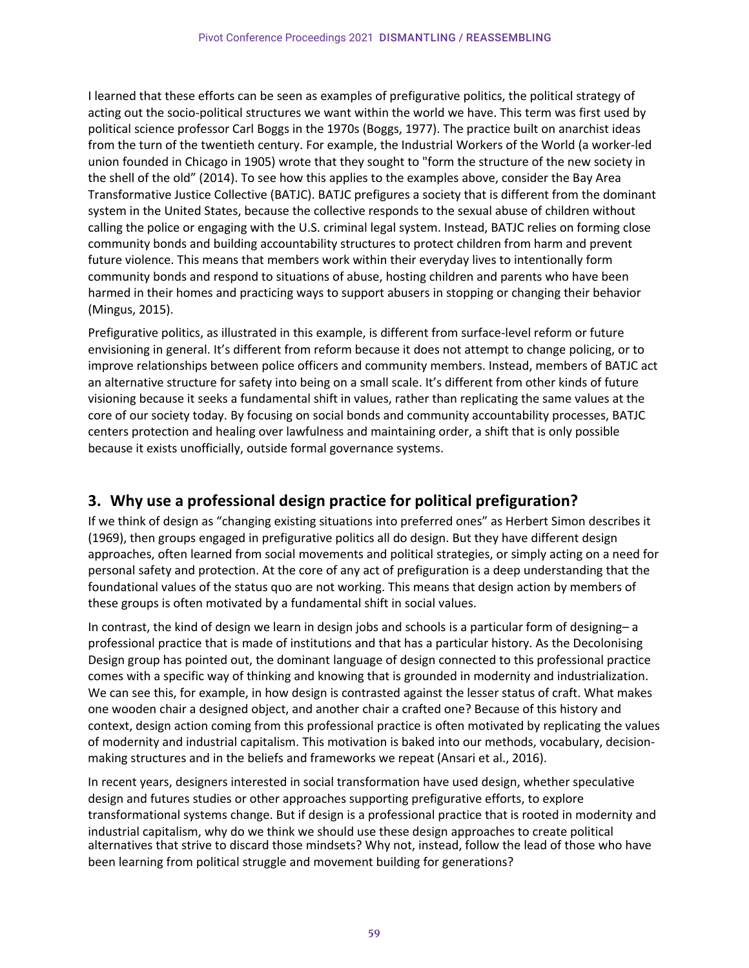I learned that these efforts can be seen as examples of prefigurative politics, the political strategy of acting out the socio-political structures we want within the world we have. This term was first used by political science professor Carl Boggs in the 1970s (Boggs, 1977). The practice built on anarchist ideas from the turn of the twentieth century. For example, the Industrial Workers of the World (a worker-led union founded in Chicago in 1905) wrote that they sought to "form the structure of the new society in the shell of the old" (2014). To see how this applies to the examples above, consider the Bay Area Transformative Justice Collective (BATJC). BATJC prefigures a society that is different from the dominant system in the United States, because the collective responds to the sexual abuse of children without calling the police or engaging with the U.S. criminal legal system. Instead, BATJC relies on forming close community bonds and building accountability structures to protect children from harm and prevent future violence. This means that members work within their everyday lives to intentionally form community bonds and respond to situations of abuse, hosting children and parents who have been harmed in their homes and practicing ways to support abusers in stopping or changing their behavior (Mingus, 2015).

Prefigurative politics, as illustrated in this example, is different from surface-level reform or future envisioning in general. It's different from reform because it does not attempt to change policing, or to improve relationships between police officers and community members. Instead, members of BATJC act an alternative structure for safety into being on a small scale. It's different from other kinds of future visioning because it seeks a fundamental shift in values, rather than replicating the same values at the core of our society today. By focusing on social bonds and community accountability processes, BATJC centers protection and healing over lawfulness and maintaining order, a shift that is only possible because it exists unofficially, outside formal governance systems.

## **3. Why use a professional design practice for political prefiguration?**

If we think of design as "changing existing situations into preferred ones" as Herbert Simon describes it (1969), then groups engaged in prefigurative politics all do design. But they have different design approaches, often learned from social movements and political strategies, or simply acting on a need for personal safety and protection. At the core of any act of prefiguration is a deep understanding that the foundational values of the status quo are not working. This means that design action by members of these groups is often motivated by a fundamental shift in social values.

In contrast, the kind of design we learn in design jobs and schools is a particular form of designing– a professional practice that is made of institutions and that has a particular history. As the Decolonising Design group has pointed out, the dominant language of design connected to this professional practice comes with a specific way of thinking and knowing that is grounded in modernity and industrialization. We can see this, for example, in how design is contrasted against the lesser status of craft. What makes one wooden chair a designed object, and another chair a crafted one? Because of this history and context, design action coming from this professional practice is often motivated by replicating the values of modernity and industrial capitalism. This motivation is baked into our methods, vocabulary, decisionmaking structures and in the beliefs and frameworks we repeat (Ansari et al., 2016).

In recent years, designers interested in social transformation have used design, whether speculative design and futures studies or other approaches supporting prefigurative efforts, to explore transformational systems change. But if design is a professional practice that is rooted in modernity and industrial capitalism, why do we think we should use these design approaches to create political alternatives that strive to discard those mindsets? Why not, instead, follow the lead of those who have been learning from political struggle and movement building for generations?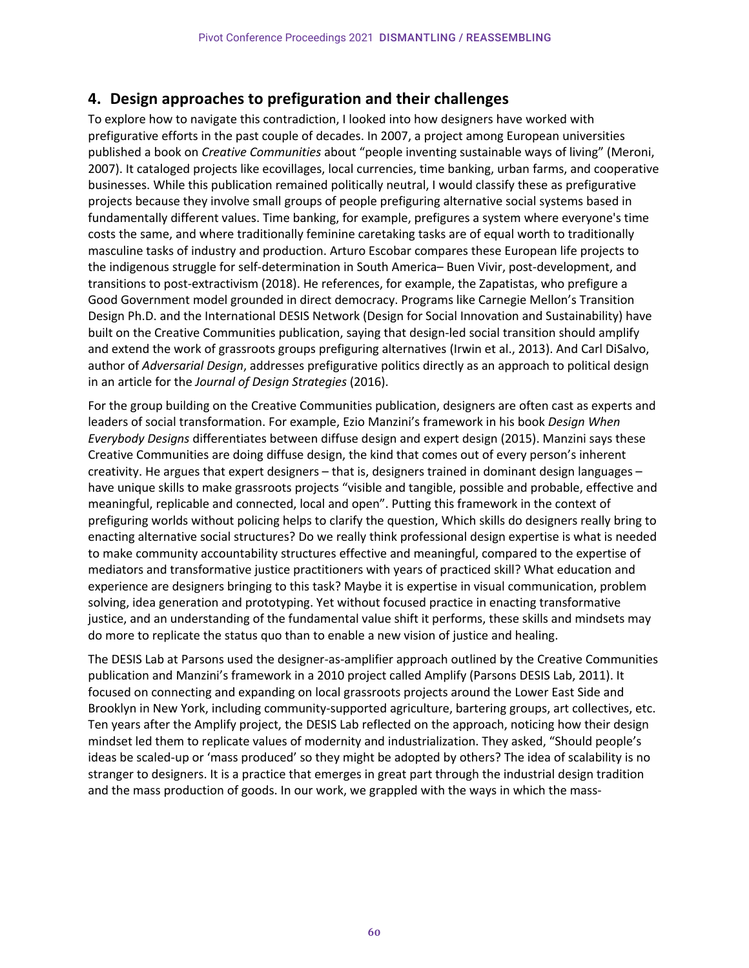#### **4. Design approaches to prefiguration and their challenges**

To explore how to navigate this contradiction, I looked into how designers have worked with prefigurative efforts in the past couple of decades. In 2007, a project among European universities published a book on *Creative Communities* about "people inventing sustainable ways of living" (Meroni, 2007). It cataloged projects like ecovillages, local currencies, time banking, urban farms, and cooperative businesses. While this publication remained politically neutral, I would classify these as prefigurative projects because they involve small groups of people prefiguring alternative social systems based in fundamentally different values. Time banking, for example, prefigures a system where everyone's time costs the same, and where traditionally feminine caretaking tasks are of equal worth to traditionally masculine tasks of industry and production. Arturo Escobar compares these European life projects to the indigenous struggle for self-determination in South America– Buen Vivir, post-development, and transitions to post-extractivism (2018). He references, for example, the Zapatistas, who prefigure a Good Government model grounded in direct democracy. Programs like Carnegie Mellon's Transition Design Ph.D. and the International DESIS Network (Design for Social Innovation and Sustainability) have built on the Creative Communities publication, saying that design-led social transition should amplify and extend the work of grassroots groups prefiguring alternatives (Irwin et al., 2013). And Carl DiSalvo, author of *Adversarial Design*, addresses prefigurative politics directly as an approach to political design in an article for the *Journal of Design Strategies* (2016).

For the group building on the Creative Communities publication, designers are often cast as experts and leaders of social transformation. For example, Ezio Manzini's framework in his book *Design When Everybody Designs* differentiates between diffuse design and expert design (2015). Manzini says these Creative Communities are doing diffuse design, the kind that comes out of every person's inherent creativity. He argues that expert designers – that is, designers trained in dominant design languages – have unique skills to make grassroots projects "visible and tangible, possible and probable, effective and meaningful, replicable and connected, local and open". Putting this framework in the context of prefiguring worlds without policing helps to clarify the question, Which skills do designers really bring to enacting alternative social structures? Do we really think professional design expertise is what is needed to make community accountability structures effective and meaningful, compared to the expertise of mediators and transformative justice practitioners with years of practiced skill? What education and experience are designers bringing to this task? Maybe it is expertise in visual communication, problem solving, idea generation and prototyping. Yet without focused practice in enacting transformative justice, and an understanding of the fundamental value shift it performs, these skills and mindsets may do more to replicate the status quo than to enable a new vision of justice and healing.

The DESIS Lab at Parsons used the designer-as-amplifier approach outlined by the Creative Communities publication and Manzini's framework in a 2010 project called Amplify (Parsons DESIS Lab, 2011). It focused on connecting and expanding on local grassroots projects around the Lower East Side and Brooklyn in New York, including community-supported agriculture, bartering groups, art collectives, etc. Ten years after the Amplify project, the DESIS Lab reflected on the approach, noticing how their design mindset led them to replicate values of modernity and industrialization. They asked, "Should people's ideas be scaled-up or 'mass produced' so they might be adopted by others? The idea of scalability is no stranger to designers. It is a practice that emerges in great part through the industrial design tradition and the mass production of goods. In our work, we grappled with the ways in which the mass-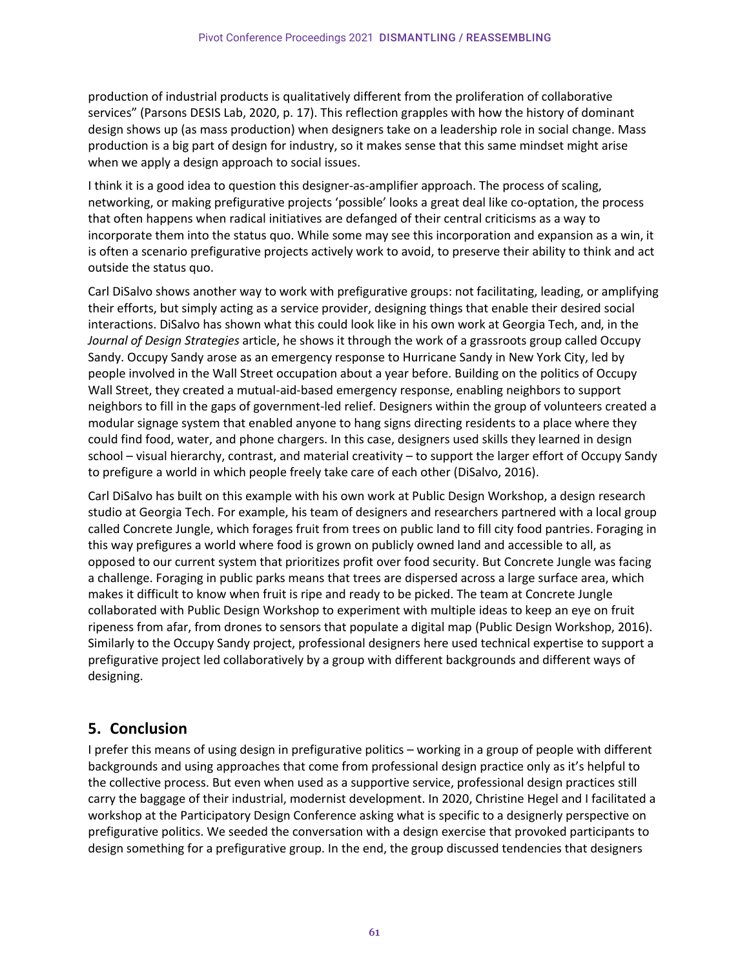production of industrial products is qualitatively different from the proliferation of collaborative services" (Parsons DESIS Lab, 2020, p. 17). This reflection grapples with how the history of dominant design shows up (as mass production) when designers take on a leadership role in social change. Mass production is a big part of design for industry, so it makes sense that this same mindset might arise when we apply a design approach to social issues.

I think it is a good idea to question this designer-as-amplifier approach. The process of scaling, networking, or making prefigurative projects 'possible' looks a great deal like co-optation, the process that often happens when radical initiatives are defanged of their central criticisms as a way to incorporate them into the status quo. While some may see this incorporation and expansion as a win, it is often a scenario prefigurative projects actively work to avoid, to preserve their ability to think and act outside the status quo.

Carl DiSalvo shows another way to work with prefigurative groups: not facilitating, leading, or amplifying their efforts, but simply acting as a service provider, designing things that enable their desired social interactions. DiSalvo has shown what this could look like in his own work at Georgia Tech, and, in the *Journal of Design Strategies* article, he shows it through the work of a grassroots group called Occupy Sandy. Occupy Sandy arose as an emergency response to Hurricane Sandy in New York City, led by people involved in the Wall Street occupation about a year before. Building on the politics of Occupy Wall Street, they created a mutual-aid-based emergency response, enabling neighbors to support neighbors to fill in the gaps of government-led relief. Designers within the group of volunteers created a modular signage system that enabled anyone to hang signs directing residents to a place where they could find food, water, and phone chargers. In this case, designers used skills they learned in design school – visual hierarchy, contrast, and material creativity – to support the larger effort of Occupy Sandy to prefigure a world in which people freely take care of each other (DiSalvo, 2016).

Carl DiSalvo has built on this example with his own work at Public Design Workshop, a design research studio at Georgia Tech. For example, his team of designers and researchers partnered with a local group called Concrete Jungle, which forages fruit from trees on public land to fill city food pantries. Foraging in this way prefigures a world where food is grown on publicly owned land and accessible to all, as opposed to our current system that prioritizes profit over food security. But Concrete Jungle was facing a challenge. Foraging in public parks means that trees are dispersed across a large surface area, which makes it difficult to know when fruit is ripe and ready to be picked. The team at Concrete Jungle collaborated with Public Design Workshop to experiment with multiple ideas to keep an eye on fruit ripeness from afar, from drones to sensors that populate a digital map (Public Design Workshop, 2016). Similarly to the Occupy Sandy project, professional designers here used technical expertise to support a prefigurative project led collaboratively by a group with different backgrounds and different ways of designing.

## **5. Conclusion**

I prefer this means of using design in prefigurative politics – working in a group of people with different backgrounds and using approaches that come from professional design practice only as it's helpful to the collective process. But even when used as a supportive service, professional design practices still carry the baggage of their industrial, modernist development. In 2020, Christine Hegel and I facilitated a workshop at the Participatory Design Conference asking what is specific to a designerly perspective on prefigurative politics. We seeded the conversation with a design exercise that provoked participants to design something for a prefigurative group. In the end, the group discussed tendencies that designers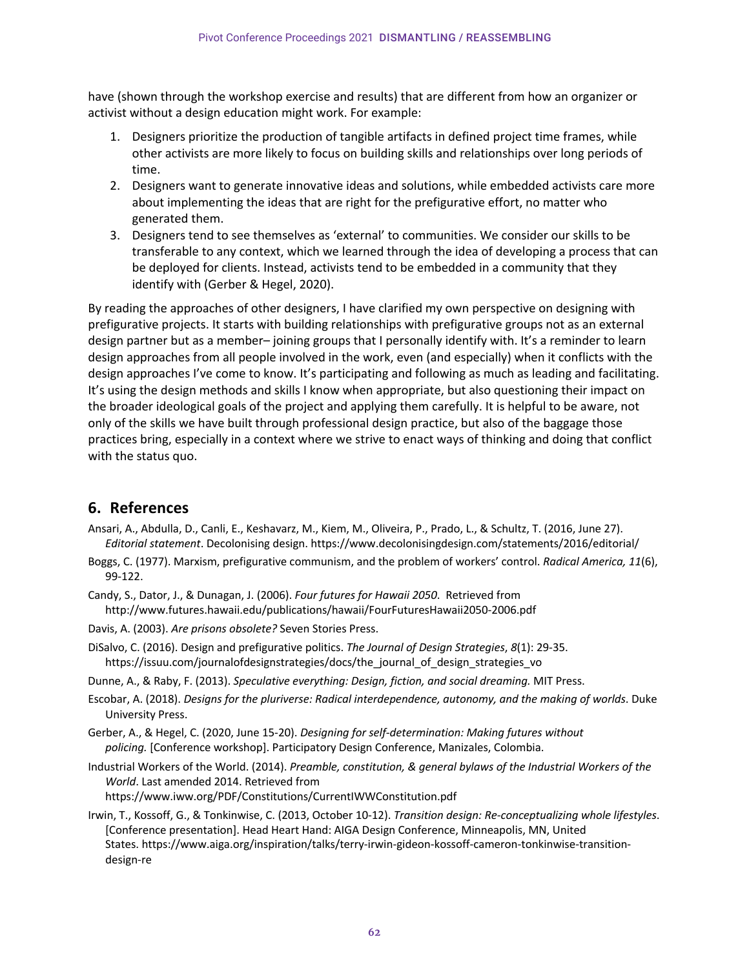have (shown through the workshop exercise and results) that are different from how an organizer or activist without a design education might work. For example:

- 1. Designers prioritize the production of tangible artifacts in defined project time frames, while other activists are more likely to focus on building skills and relationships over long periods of time.
- 2. Designers want to generate innovative ideas and solutions, while embedded activists care more about implementing the ideas that are right for the prefigurative effort, no matter who generated them.
- 3. Designers tend to see themselves as 'external' to communities. We consider our skills to be transferable to any context, which we learned through the idea of developing a process that can be deployed for clients. Instead, activists tend to be embedded in a community that they identify with (Gerber & Hegel, 2020).

By reading the approaches of other designers, I have clarified my own perspective on designing with prefigurative projects. It starts with building relationships with prefigurative groups not as an external design partner but as a member– joining groups that I personally identify with. It's a reminder to learn design approaches from all people involved in the work, even (and especially) when it conflicts with the design approaches I've come to know. It's participating and following as much as leading and facilitating. It's using the design methods and skills I know when appropriate, but also questioning their impact on the broader ideological goals of the project and applying them carefully. It is helpful to be aware, not only of the skills we have built through professional design practice, but also of the baggage those practices bring, especially in a context where we strive to enact ways of thinking and doing that conflict with the status quo.

#### **6. References**

- Ansari, A., Abdulla, D., Canli, E., Keshavarz, M., Kiem, M., Oliveira, P., Prado, L., & Schultz, T. (2016, June 27). *Editorial statement*. Decolonising design. https://www.decolonisingdesign.com/statements/2016/editorial/
- Boggs, C. (1977). Marxism, prefigurative communism, and the problem of workers' control. *Radical America, 11*(6), 99-122.
- Candy, S., Dator, J., & Dunagan, J. (2006). *Four futures for Hawaii 2050*. Retrieved from http://www.futures.hawaii.edu/publications/hawaii/FourFuturesHawaii2050-2006.pdf
- Davis, A. (2003). *Are prisons obsolete?* Seven Stories Press.
- DiSalvo, C. (2016). Design and prefigurative politics. *The Journal of Design Strategies*, *8*(1): 29-35. https://issuu.com/journalofdesignstrategies/docs/the\_journal\_of\_design\_strategies\_vo
- Dunne, A., & Raby, F. (2013). *Speculative everything: Design, fiction, and social dreaming.* MIT Press.
- Escobar, A. (2018). *Designs for the pluriverse: Radical interdependence, autonomy, and the making of worlds*. Duke University Press.
- Gerber, A., & Hegel, C. (2020, June 15-20). *Designing for self-determination: Making futures without policing.* [Conference workshop]. Participatory Design Conference, Manizales, Colombia.
- Industrial Workers of the World. (2014). *Preamble, constitution, & general bylaws of the Industrial Workers of the World*. Last amended 2014. Retrieved from https://www.iww.org/PDF/Constitutions/CurrentIWWConstitution.pdf
- Irwin, T., Kossoff, G., & Tonkinwise, C. (2013, October 10-12). *Transition design: Re-conceptualizing whole lifestyles*. [Conference presentation]. Head Heart Hand: AIGA Design Conference, Minneapolis, MN, United States. https://www.aiga.org/inspiration/talks/terry-irwin-gideon-kossoff-cameron-tonkinwise-transitiondesign-re